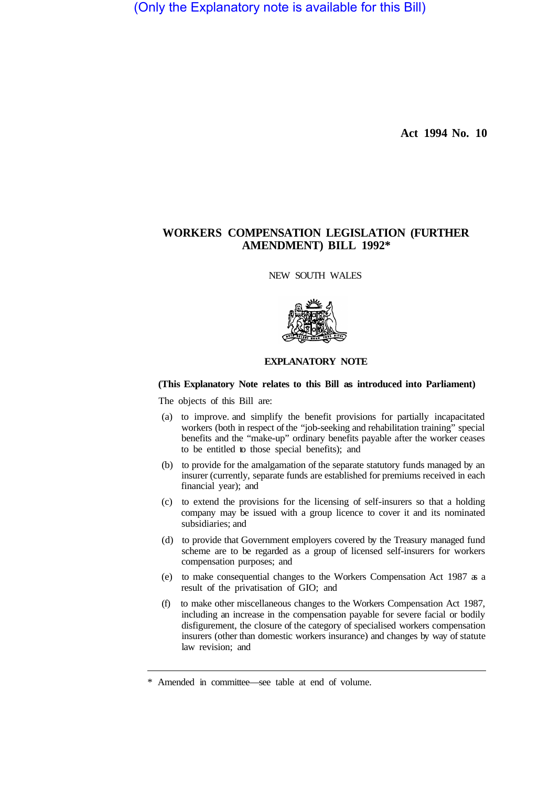(Only the Explanatory note is available for this Bill)

**Act 1994 No. 10** 

## **WORKERS COMPENSATION LEGISLATION (FURTHER AMENDMENT) BILL 1992\***

NEW SOUTH WALES



## **EXPLANATORY NOTE**

## **(This Explanatory Note relates to this Bill as introduced into Parliament)**

The objects of this Bill are:

- (a) to improve. and simplify the benefit provisions for partially incapacitated workers (both in respect of the "job-seeking and rehabilitation training" special benefits and the "make-up" ordinary benefits payable after the worker ceases to be entitled to those special benefits); and
- (b) to provide for the amalgamation of the separate statutory funds managed by an insurer (currently, separate funds are established for premiums received in each financial year); and
- (c) to extend the provisions for the licensing of self-insurers so that a holding company may be issued with a group licence to cover it and its nominated subsidiaries; and
- (d) to provide that Government employers covered by the Treasury managed fund scheme are to be regarded as a group of licensed self-insurers for workers compensation purposes; and
- (e) to make consequential changes to the Workers Compensation Act 1987 as a result of the privatisation of GIO; and
- (f) to make other miscellaneous changes to the Workers Compensation Act 1987, including an increase in the compensation payable for severe facial or bodily disfigurement, the closure of the category of specialised workers compensation insurers (other than domestic workers insurance) and changes by way of statute law revision; and

<sup>\*</sup> Amended in committee—see table at end of volume.